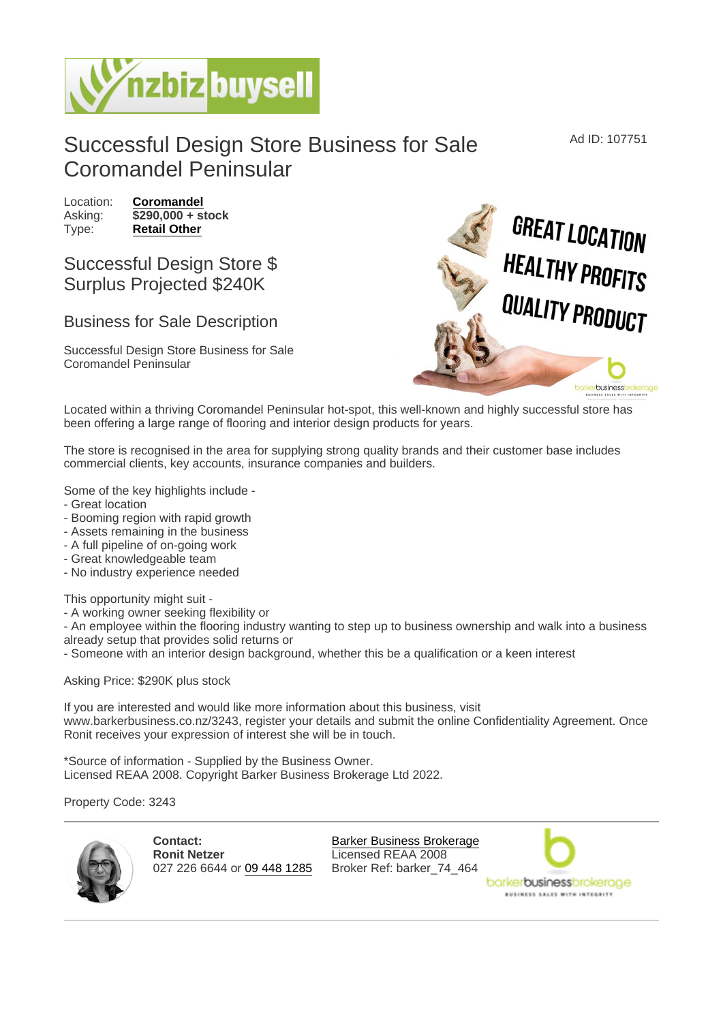## Successful Design Store Business for Sale Coromandel Peninsular

Location: [Coromandel](https://www.nzbizbuysell.co.nz/businesses-for-sale/location/Coromandel) Asking:  $\sqrt{290,000 + 5}$  stock Type: [Retail Other](https://www.nzbizbuysell.co.nz/businesses-for-sale/Retail-Other/New-Zealand)

## Successful Design Store \$ Surplus Projected \$240K

## Business for Sale Description

Successful Design Store Business for Sale Coromandel Peninsular

Located within a thriving Coromandel Peninsular hot-spot, this well-known and highly successful store has been offering a large range of flooring and interior design products for years.

The store is recognised in the area for supplying strong quality brands and their customer base includes commercial clients, key accounts, insurance companies and builders.

Some of the key highlights include -

- Great location
- Booming region with rapid growth
- Assets remaining in the business
- A full pipeline of on-going work
- Great knowledgeable team
- No industry experience needed

This opportunity might suit -

- A working owner seeking flexibility or

- An employee within the flooring industry wanting to step up to business ownership and walk into a business already setup that provides solid returns or

- Someone with an interior design background, whether this be a qualification or a keen interest

Asking Price: \$290K plus stock

If you are interested and would like more information about this business, visit www.barkerbusiness.co.nz/3243, register your details and submit the online Confidentiality Agreement. Once Ronit receives your expression of interest she will be in touch.

\*Source of information - Supplied by the Business Owner. Licensed REAA 2008. Copyright Barker Business Brokerage Ltd 2022.

Property Code: 3243

Contact: Ronit Netzer 027 226 6644 or [09 448 1285](tel:09 448 1285)

[Barker Business Brokerage](https://www.nzbizbuysell.co.nz/business-brokers/96/barker-business-brokerage/brokerage-listings) Licensed REAA 2008 Broker Ref: barker\_74\_464